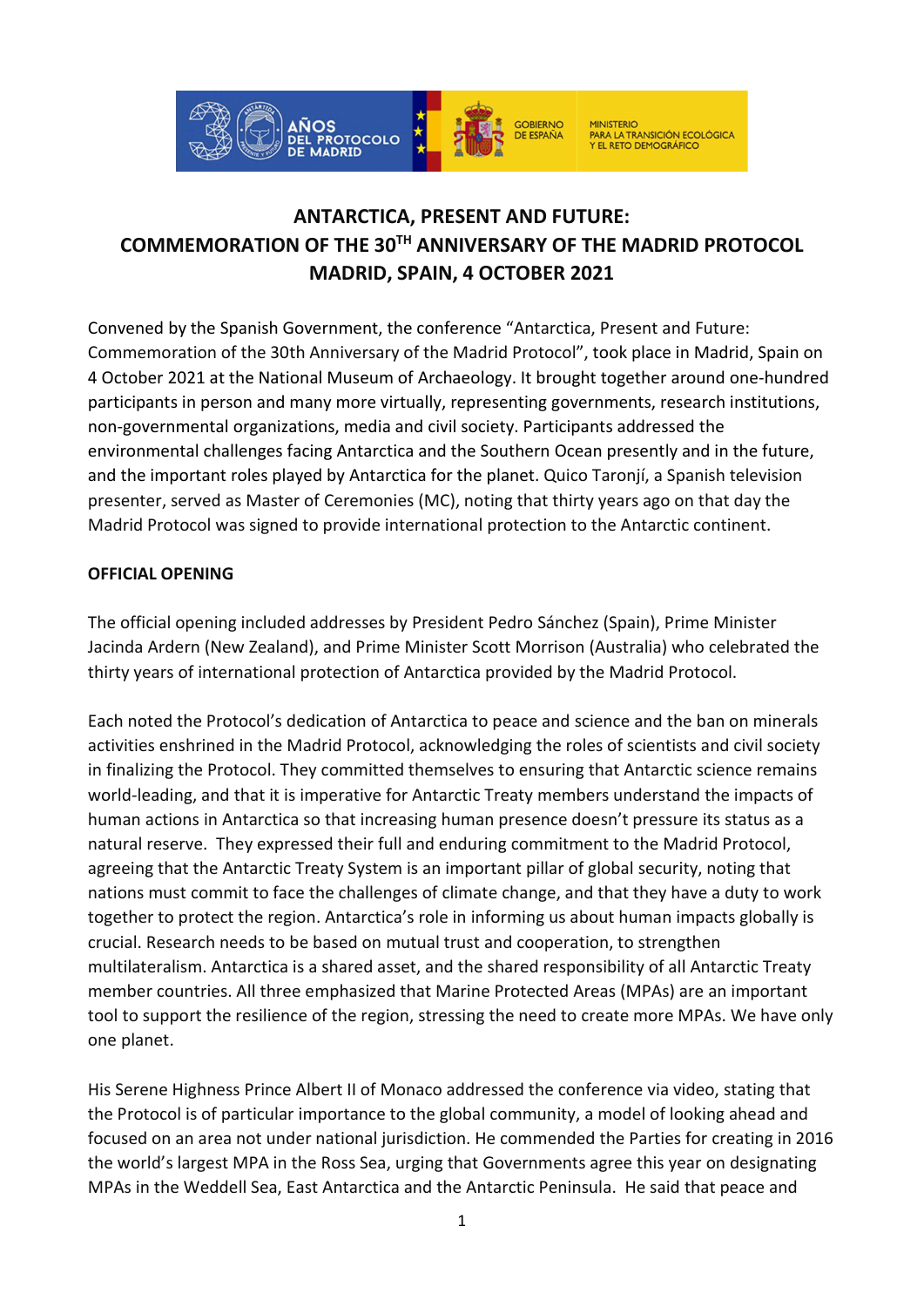

# ANTARCTICA, PRESENT AND FUTURE: COMMEMORATION OF THE 30TH ANNIVERSARY OF THE MADRID PROTOCOL MADRID, SPAIN, 4 OCTOBER 2021

Convened by the Spanish Government, the conference "Antarctica, Present and Future: Commemoration of the 30th Anniversary of the Madrid Protocol", took place in Madrid, Spain on 4 October 2021 at the National Museum of Archaeology. It brought together around one-hundred participants in person and many more virtually, representing governments, research institutions, non-governmental organizations, media and civil society. Participants addressed the environmental challenges facing Antarctica and the Southern Ocean presently and in the future, and the important roles played by Antarctica for the planet. Quico Taronjí, a Spanish television presenter, served as Master of Ceremonies (MC), noting that thirty years ago on that day the Madrid Protocol was signed to provide international protection to the Antarctic continent.

### OFFICIAL OPENING

The official opening included addresses by President Pedro Sánchez (Spain), Prime Minister Jacinda Ardern (New Zealand), and Prime Minister Scott Morrison (Australia) who celebrated the thirty years of international protection of Antarctica provided by the Madrid Protocol.

Each noted the Protocol's dedication of Antarctica to peace and science and the ban on minerals activities enshrined in the Madrid Protocol, acknowledging the roles of scientists and civil society in finalizing the Protocol. They committed themselves to ensuring that Antarctic science remains world-leading, and that it is imperative for Antarctic Treaty members understand the impacts of human actions in Antarctica so that increasing human presence doesn't pressure its status as a natural reserve. They expressed their full and enduring commitment to the Madrid Protocol, agreeing that the Antarctic Treaty System is an important pillar of global security, noting that nations must commit to face the challenges of climate change, and that they have a duty to work together to protect the region. Antarctica's role in informing us about human impacts globally is crucial. Research needs to be based on mutual trust and cooperation, to strengthen multilateralism. Antarctica is a shared asset, and the shared responsibility of all Antarctic Treaty member countries. All three emphasized that Marine Protected Areas (MPAs) are an important tool to support the resilience of the region, stressing the need to create more MPAs. We have only one planet.

His Serene Highness Prince Albert II of Monaco addressed the conference via video, stating that the Protocol is of particular importance to the global community, a model of looking ahead and focused on an area not under national jurisdiction. He commended the Parties for creating in 2016 the world's largest MPA in the Ross Sea, urging that Governments agree this year on designating MPAs in the Weddell Sea, East Antarctica and the Antarctic Peninsula. He said that peace and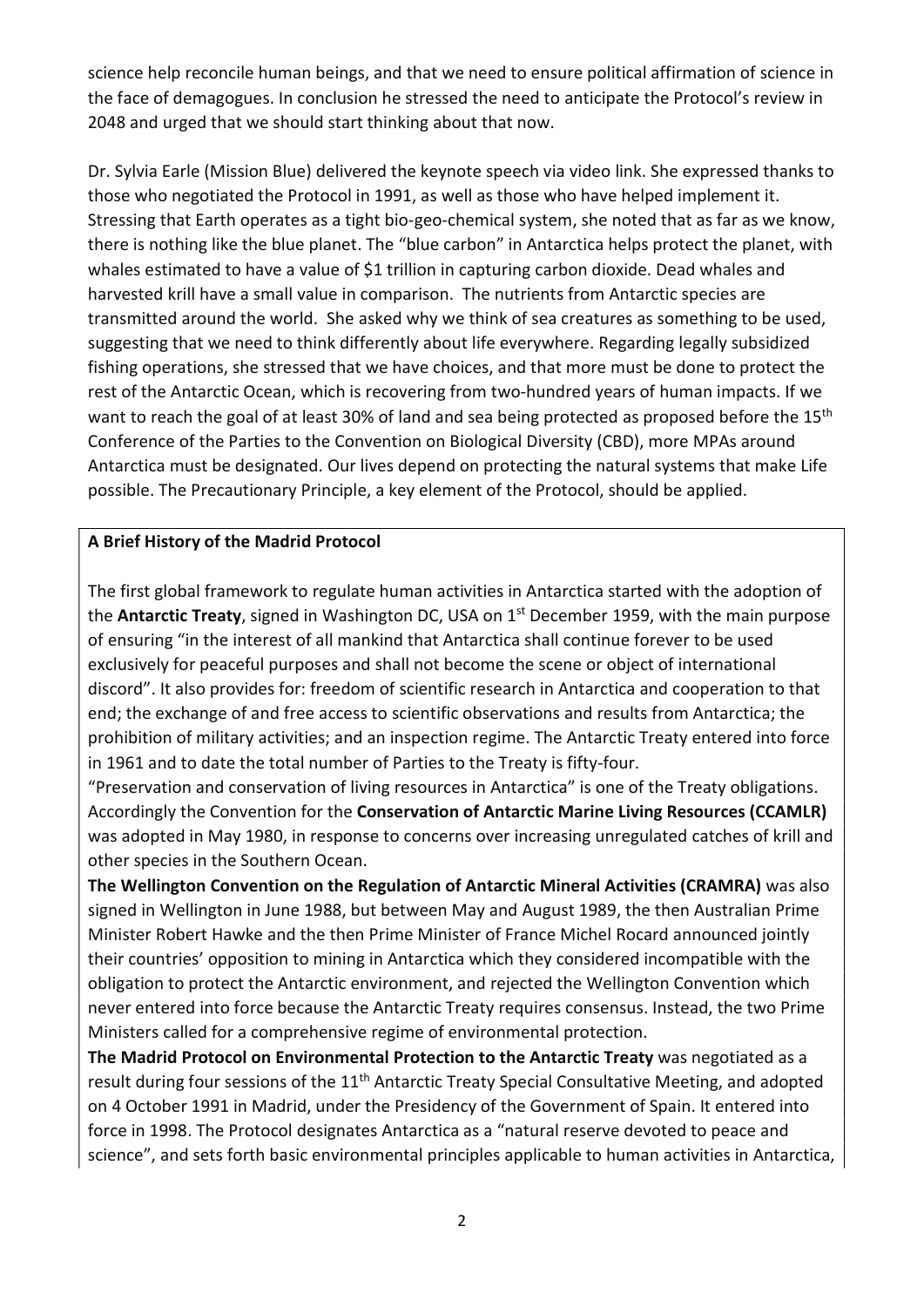science help reconcile human beings, and that we need to ensure political affirmation of science in the face of demagogues. In conclusion he stressed the need to anticipate the Protocol's review in 2048 and urged that we should start thinking about that now.

Dr. Sylvia Earle (Mission Blue) delivered the keynote speech via video link. She expressed thanks to those who negotiated the Protocol in 1991, as well as those who have helped implement it. Stressing that Earth operates as a tight bio-geo-chemical system, she noted that as far as we know, there is nothing like the blue planet. The "blue carbon" in Antarctica helps protect the planet, with whales estimated to have a value of \$1 trillion in capturing carbon dioxide. Dead whales and harvested krill have a small value in comparison. The nutrients from Antarctic species are transmitted around the world. She asked why we think of sea creatures as something to be used, suggesting that we need to think differently about life everywhere. Regarding legally subsidized fishing operations, she stressed that we have choices, and that more must be done to protect the rest of the Antarctic Ocean, which is recovering from two-hundred years of human impacts. If we want to reach the goal of at least 30% of land and sea being protected as proposed before the 15<sup>th</sup> Conference of the Parties to the Convention on Biological Diversity (CBD), more MPAs around Antarctica must be designated. Our lives depend on protecting the natural systems that make Life possible. The Precautionary Principle, a key element of the Protocol, should be applied.

#### A Brief History of the Madrid Protocol

The first global framework to regulate human activities in Antarctica started with the adoption of the **Antarctic Treaty**, signed in Washington DC, USA on 1<sup>st</sup> December 1959, with the main purpose of ensuring "in the interest of all mankind that Antarctica shall continue forever to be used exclusively for peaceful purposes and shall not become the scene or object of international discord". It also provides for: freedom of scientific research in Antarctica and cooperation to that end; the exchange of and free access to scientific observations and results from Antarctica; the prohibition of military activities; and an inspection regime. The Antarctic Treaty entered into force in 1961 and to date the total number of Parties to the Treaty is fifty-four.

"Preservation and conservation of living resources in Antarctica" is one of the Treaty obligations. Accordingly the Convention for the Conservation of Antarctic Marine Living Resources (CCAMLR) was adopted in May 1980, in response to concerns over increasing unregulated catches of krill and other species in the Southern Ocean.

The Wellington Convention on the Regulation of Antarctic Mineral Activities (CRAMRA) was also signed in Wellington in June 1988, but between May and August 1989, the then Australian Prime Minister Robert Hawke and the then Prime Minister of France Michel Rocard announced jointly their countries' opposition to mining in Antarctica which they considered incompatible with the obligation to protect the Antarctic environment, and rejected the Wellington Convention which never entered into force because the Antarctic Treaty requires consensus. Instead, the two Prime Ministers called for a comprehensive regime of environmental protection.

The Madrid Protocol on Environmental Protection to the Antarctic Treaty was negotiated as a result during four sessions of the 11<sup>th</sup> Antarctic Treaty Special Consultative Meeting, and adopted on 4 October 1991 in Madrid, under the Presidency of the Government of Spain. It entered into force in 1998. The Protocol designates Antarctica as a "natural reserve devoted to peace and science", and sets forth basic environmental principles applicable to human activities in Antarctica,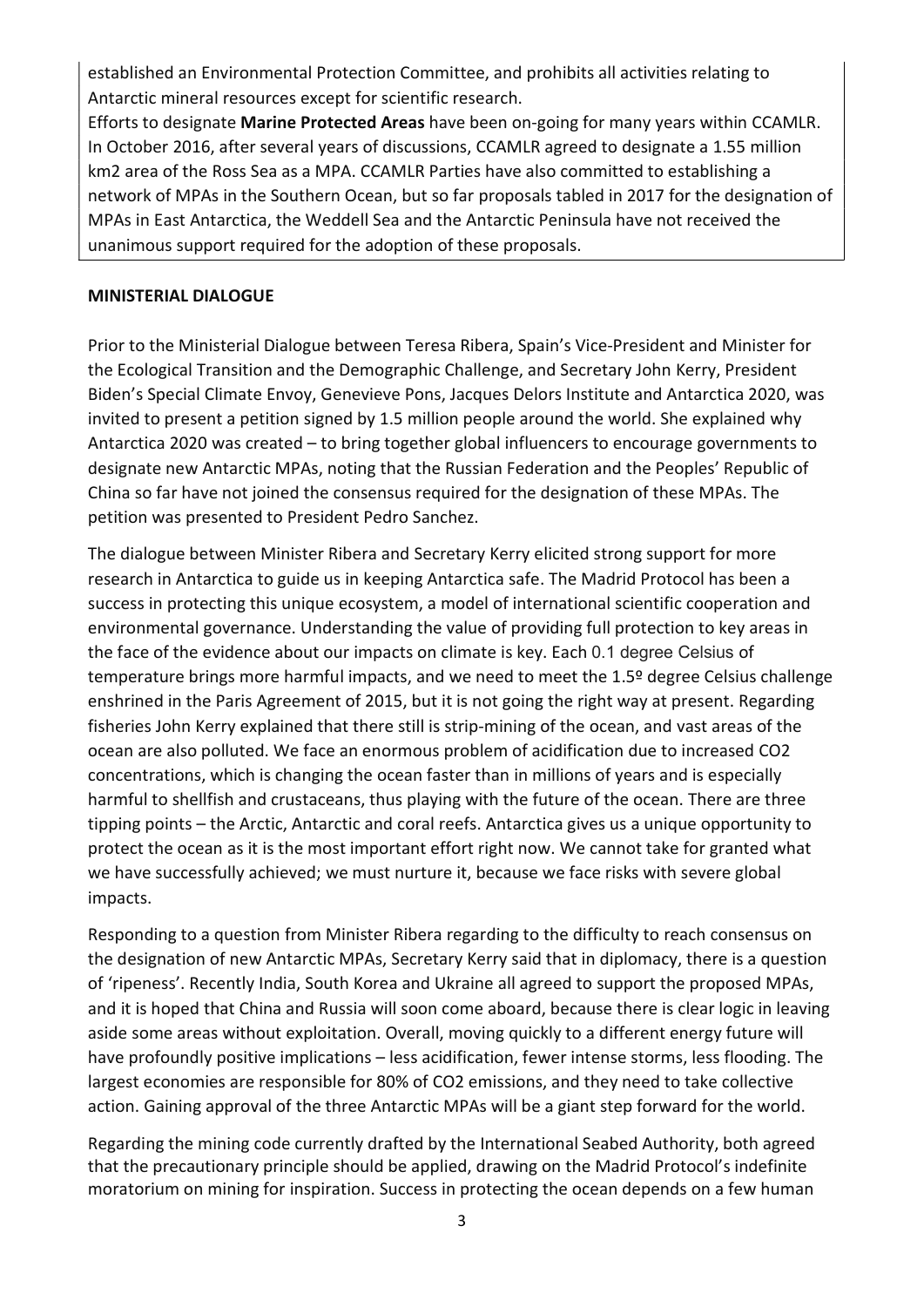established an Environmental Protection Committee, and prohibits all activities relating to Antarctic mineral resources except for scientific research.

Efforts to designate Marine Protected Areas have been on-going for many years within CCAMLR. In October 2016, after several years of discussions, CCAMLR agreed to designate a 1.55 million km2 area of the Ross Sea as a MPA. CCAMLR Parties have also committed to establishing a network of MPAs in the Southern Ocean, but so far proposals tabled in 2017 for the designation of MPAs in East Antarctica, the Weddell Sea and the Antarctic Peninsula have not received the unanimous support required for the adoption of these proposals.

#### MINISTERIAL DIALOGUE

Prior to the Ministerial Dialogue between Teresa Ribera, Spain's Vice-President and Minister for the Ecological Transition and the Demographic Challenge, and Secretary John Kerry, President Biden's Special Climate Envoy, Genevieve Pons, Jacques Delors Institute and Antarctica 2020, was invited to present a petition signed by 1.5 million people around the world. She explained why Antarctica 2020 was created – to bring together global influencers to encourage governments to designate new Antarctic MPAs, noting that the Russian Federation and the Peoples' Republic of China so far have not joined the consensus required for the designation of these MPAs. The petition was presented to President Pedro Sanchez.

The dialogue between Minister Ribera and Secretary Kerry elicited strong support for more research in Antarctica to guide us in keeping Antarctica safe. The Madrid Protocol has been a success in protecting this unique ecosystem, a model of international scientific cooperation and environmental governance. Understanding the value of providing full protection to key areas in the face of the evidence about our impacts on climate is key. Each 0.1 degree Celsius of temperature brings more harmful impacts, and we need to meet the 1.5º degree Celsius challenge enshrined in the Paris Agreement of 2015, but it is not going the right way at present. Regarding fisheries John Kerry explained that there still is strip-mining of the ocean, and vast areas of the ocean are also polluted. We face an enormous problem of acidification due to increased CO2 concentrations, which is changing the ocean faster than in millions of years and is especially harmful to shellfish and crustaceans, thus playing with the future of the ocean. There are three tipping points – the Arctic, Antarctic and coral reefs. Antarctica gives us a unique opportunity to protect the ocean as it is the most important effort right now. We cannot take for granted what we have successfully achieved; we must nurture it, because we face risks with severe global impacts.

Responding to a question from Minister Ribera regarding to the difficulty to reach consensus on the designation of new Antarctic MPAs, Secretary Kerry said that in diplomacy, there is a question of 'ripeness'. Recently India, South Korea and Ukraine all agreed to support the proposed MPAs, and it is hoped that China and Russia will soon come aboard, because there is clear logic in leaving aside some areas without exploitation. Overall, moving quickly to a different energy future will have profoundly positive implications – less acidification, fewer intense storms, less flooding. The largest economies are responsible for 80% of CO2 emissions, and they need to take collective action. Gaining approval of the three Antarctic MPAs will be a giant step forward for the world.

Regarding the mining code currently drafted by the International Seabed Authority, both agreed that the precautionary principle should be applied, drawing on the Madrid Protocol's indefinite moratorium on mining for inspiration. Success in protecting the ocean depends on a few human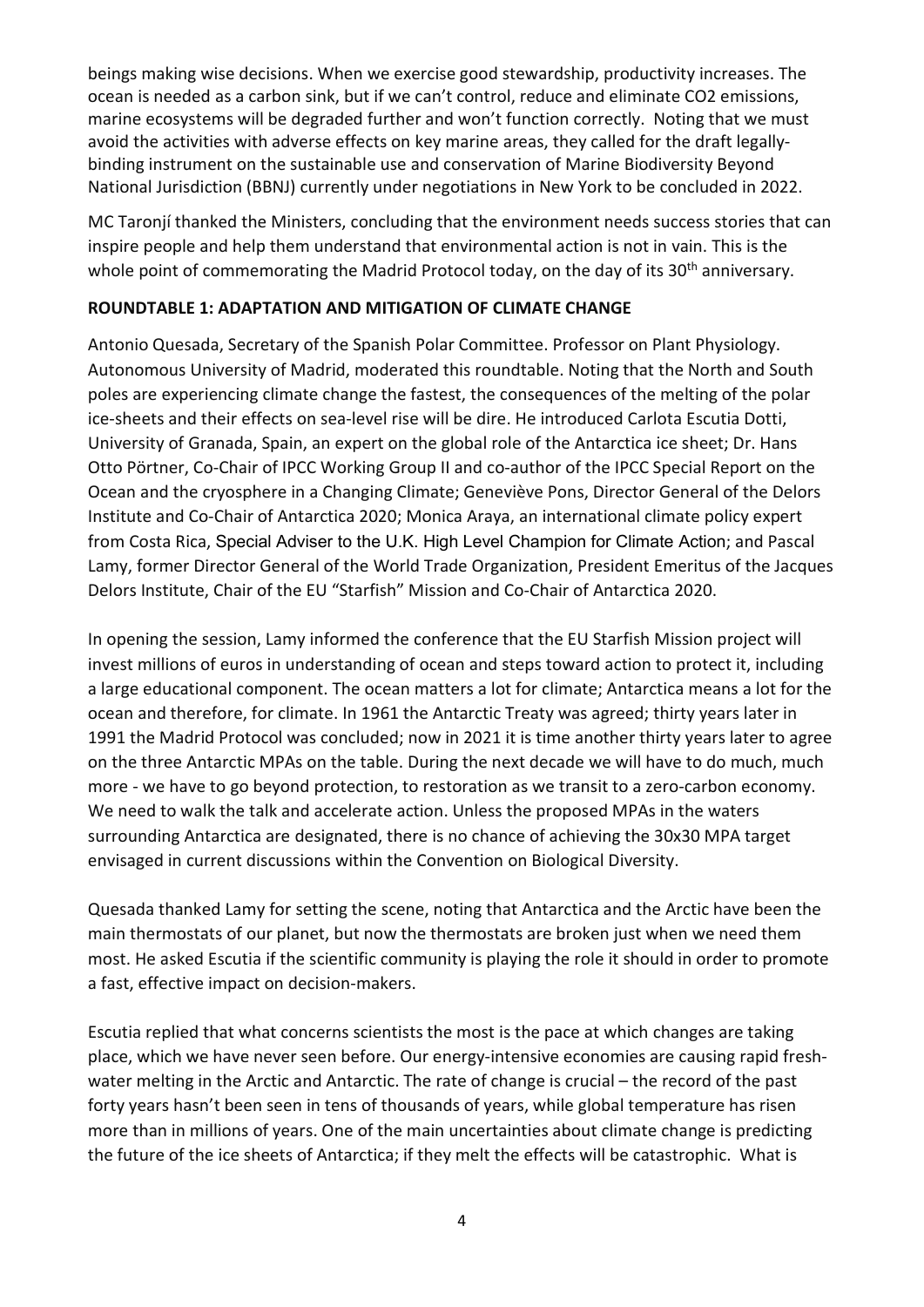beings making wise decisions. When we exercise good stewardship, productivity increases. The ocean is needed as a carbon sink, but if we can't control, reduce and eliminate CO2 emissions, marine ecosystems will be degraded further and won't function correctly. Noting that we must avoid the activities with adverse effects on key marine areas, they called for the draft legallybinding instrument on the sustainable use and conservation of Marine Biodiversity Beyond National Jurisdiction (BBNJ) currently under negotiations in New York to be concluded in 2022.

MC Taronjí thanked the Ministers, concluding that the environment needs success stories that can inspire people and help them understand that environmental action is not in vain. This is the whole point of commemorating the Madrid Protocol today, on the day of its 30<sup>th</sup> anniversary.

#### ROUNDTABLE 1: ADAPTATION AND MITIGATION OF CLIMATE CHANGE

Antonio Quesada, Secretary of the Spanish Polar Committee. Professor on Plant Physiology. Autonomous University of Madrid, moderated this roundtable. Noting that the North and South poles are experiencing climate change the fastest, the consequences of the melting of the polar ice-sheets and their effects on sea-level rise will be dire. He introduced Carlota Escutia Dotti, University of Granada, Spain, an expert on the global role of the Antarctica ice sheet; Dr. Hans Otto Pörtner, Co-Chair of IPCC Working Group II and co-author of the IPCC Special Report on the Ocean and the cryosphere in a Changing Climate; Geneviève Pons, Director General of the Delors Institute and Co-Chair of Antarctica 2020; Monica Araya, an international climate policy expert from Costa Rica, Special Adviser to the U.K. High Level Champion for Climate Action; and Pascal Lamy, former Director General of the World Trade Organization, President Emeritus of the Jacques Delors Institute, Chair of the EU "Starfish" Mission and Co-Chair of Antarctica 2020.

In opening the session, Lamy informed the conference that the EU Starfish Mission project will invest millions of euros in understanding of ocean and steps toward action to protect it, including a large educational component. The ocean matters a lot for climate; Antarctica means a lot for the ocean and therefore, for climate. In 1961 the Antarctic Treaty was agreed; thirty years later in 1991 the Madrid Protocol was concluded; now in 2021 it is time another thirty years later to agree on the three Antarctic MPAs on the table. During the next decade we will have to do much, much more - we have to go beyond protection, to restoration as we transit to a zero-carbon economy. We need to walk the talk and accelerate action. Unless the proposed MPAs in the waters surrounding Antarctica are designated, there is no chance of achieving the 30x30 MPA target envisaged in current discussions within the Convention on Biological Diversity.

Quesada thanked Lamy for setting the scene, noting that Antarctica and the Arctic have been the main thermostats of our planet, but now the thermostats are broken just when we need them most. He asked Escutia if the scientific community is playing the role it should in order to promote a fast, effective impact on decision-makers.

Escutia replied that what concerns scientists the most is the pace at which changes are taking place, which we have never seen before. Our energy-intensive economies are causing rapid freshwater melting in the Arctic and Antarctic. The rate of change is crucial – the record of the past forty years hasn't been seen in tens of thousands of years, while global temperature has risen more than in millions of years. One of the main uncertainties about climate change is predicting the future of the ice sheets of Antarctica; if they melt the effects will be catastrophic. What is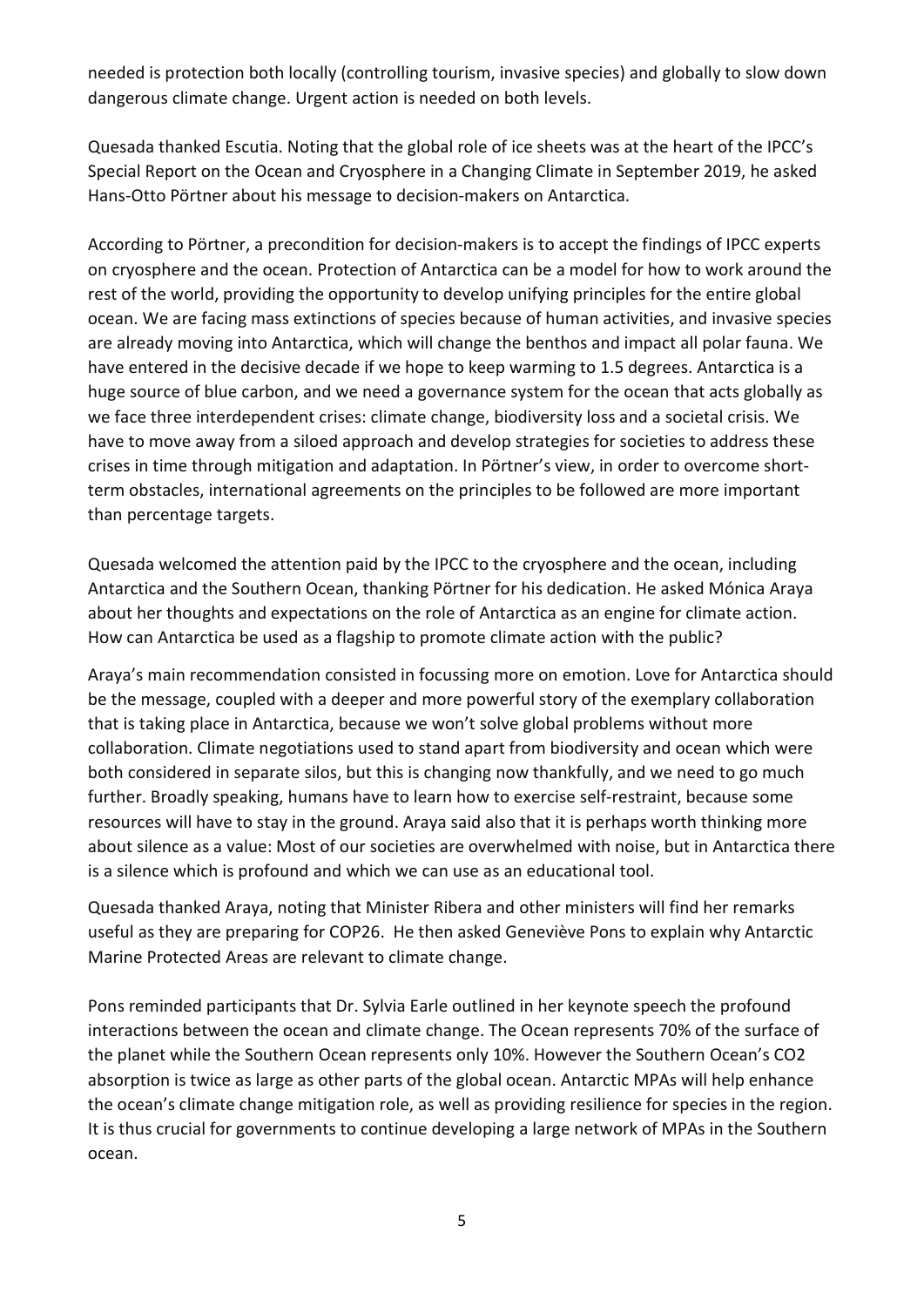needed is protection both locally (controlling tourism, invasive species) and globally to slow down dangerous climate change. Urgent action is needed on both levels.

Quesada thanked Escutia. Noting that the global role of ice sheets was at the heart of the IPCC's Special Report on the Ocean and Cryosphere in a Changing Climate in September 2019, he asked Hans-Otto Pörtner about his message to decision-makers on Antarctica.

According to Pörtner, a precondition for decision-makers is to accept the findings of IPCC experts on cryosphere and the ocean. Protection of Antarctica can be a model for how to work around the rest of the world, providing the opportunity to develop unifying principles for the entire global ocean. We are facing mass extinctions of species because of human activities, and invasive species are already moving into Antarctica, which will change the benthos and impact all polar fauna. We have entered in the decisive decade if we hope to keep warming to 1.5 degrees. Antarctica is a huge source of blue carbon, and we need a governance system for the ocean that acts globally as we face three interdependent crises: climate change, biodiversity loss and a societal crisis. We have to move away from a siloed approach and develop strategies for societies to address these crises in time through mitigation and adaptation. In Pörtner's view, in order to overcome shortterm obstacles, international agreements on the principles to be followed are more important than percentage targets.

Quesada welcomed the attention paid by the IPCC to the cryosphere and the ocean, including Antarctica and the Southern Ocean, thanking Pörtner for his dedication. He asked Mónica Araya about her thoughts and expectations on the role of Antarctica as an engine for climate action. How can Antarctica be used as a flagship to promote climate action with the public?

Araya's main recommendation consisted in focussing more on emotion. Love for Antarctica should be the message, coupled with a deeper and more powerful story of the exemplary collaboration that is taking place in Antarctica, because we won't solve global problems without more collaboration. Climate negotiations used to stand apart from biodiversity and ocean which were both considered in separate silos, but this is changing now thankfully, and we need to go much further. Broadly speaking, humans have to learn how to exercise self-restraint, because some resources will have to stay in the ground. Araya said also that it is perhaps worth thinking more about silence as a value: Most of our societies are overwhelmed with noise, but in Antarctica there is a silence which is profound and which we can use as an educational tool.

Quesada thanked Araya, noting that Minister Ribera and other ministers will find her remarks useful as they are preparing for COP26. He then asked Geneviève Pons to explain why Antarctic Marine Protected Areas are relevant to climate change.

Pons reminded participants that Dr. Sylvia Earle outlined in her keynote speech the profound interactions between the ocean and climate change. The Ocean represents 70% of the surface of the planet while the Southern Ocean represents only 10%. However the Southern Ocean's CO2 absorption is twice as large as other parts of the global ocean. Antarctic MPAs will help enhance the ocean's climate change mitigation role, as well as providing resilience for species in the region. It is thus crucial for governments to continue developing a large network of MPAs in the Southern ocean.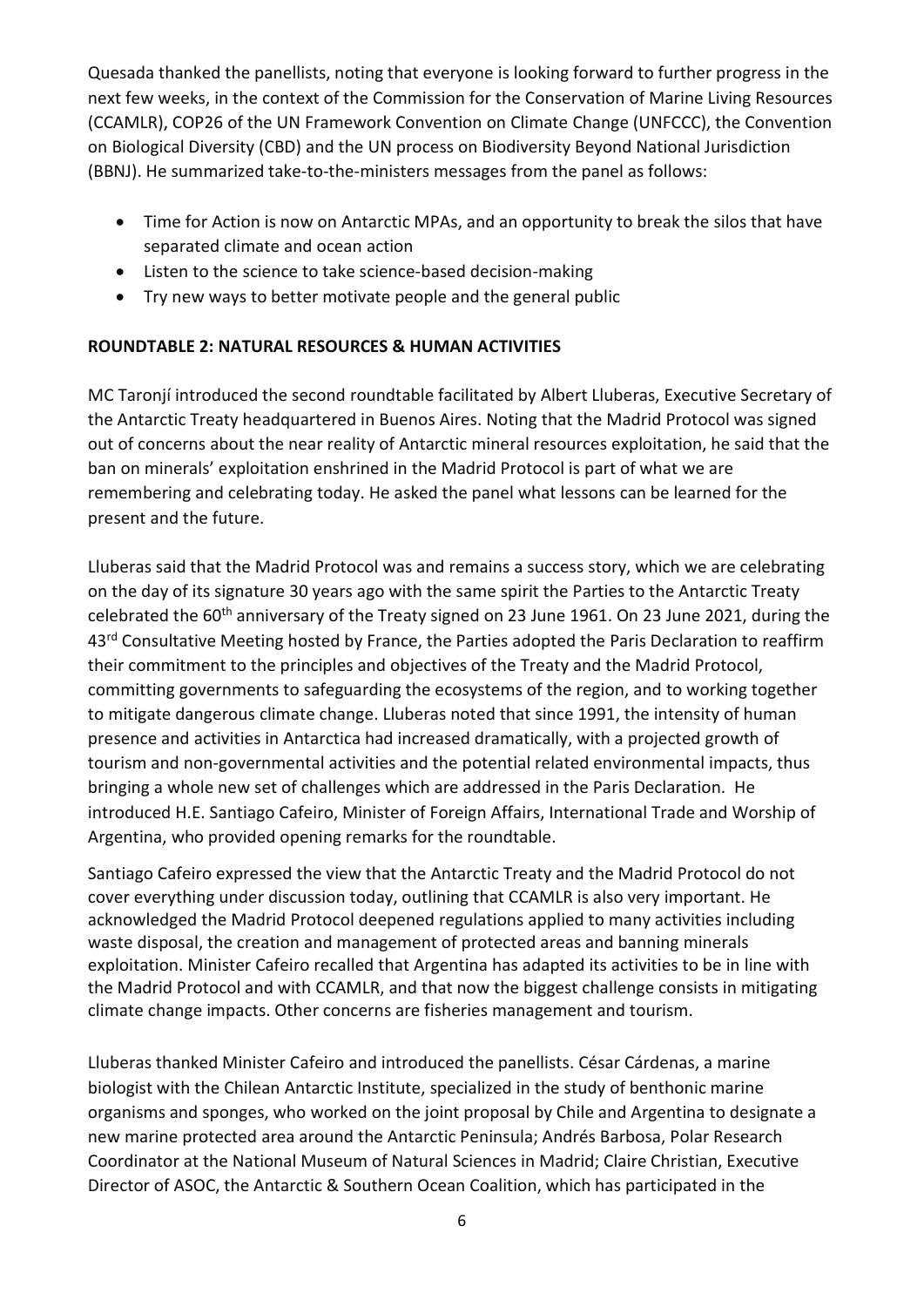Quesada thanked the panellists, noting that everyone is looking forward to further progress in the next few weeks, in the context of the Commission for the Conservation of Marine Living Resources (CCAMLR), COP26 of the UN Framework Convention on Climate Change (UNFCCC), the Convention on Biological Diversity (CBD) and the UN process on Biodiversity Beyond National Jurisdiction (BBNJ). He summarized take-to-the-ministers messages from the panel as follows:

- Time for Action is now on Antarctic MPAs, and an opportunity to break the silos that have separated climate and ocean action
- Listen to the science to take science-based decision-making
- Try new ways to better motivate people and the general public

### ROUNDTABLE 2: NATURAL RESOURCES & HUMAN ACTIVITIES

MC Taronjí introduced the second roundtable facilitated by Albert Lluberas, Executive Secretary of the Antarctic Treaty headquartered in Buenos Aires. Noting that the Madrid Protocol was signed out of concerns about the near reality of Antarctic mineral resources exploitation, he said that the ban on minerals' exploitation enshrined in the Madrid Protocol is part of what we are remembering and celebrating today. He asked the panel what lessons can be learned for the present and the future.

Lluberas said that the Madrid Protocol was and remains a success story, which we are celebrating on the day of its signature 30 years ago with the same spirit the Parties to the Antarctic Treaty celebrated the 60<sup>th</sup> anniversary of the Treaty signed on 23 June 1961. On 23 June 2021, during the 43<sup>rd</sup> Consultative Meeting hosted by France, the Parties adopted the Paris Declaration to reaffirm their commitment to the principles and objectives of the Treaty and the Madrid Protocol, committing governments to safeguarding the ecosystems of the region, and to working together to mitigate dangerous climate change. Lluberas noted that since 1991, the intensity of human presence and activities in Antarctica had increased dramatically, with a projected growth of tourism and non-governmental activities and the potential related environmental impacts, thus bringing a whole new set of challenges which are addressed in the Paris Declaration. He introduced H.E. Santiago Cafeiro, Minister of Foreign Affairs, International Trade and Worship of Argentina, who provided opening remarks for the roundtable.

Santiago Cafeiro expressed the view that the Antarctic Treaty and the Madrid Protocol do not cover everything under discussion today, outlining that CCAMLR is also very important. He acknowledged the Madrid Protocol deepened regulations applied to many activities including waste disposal, the creation and management of protected areas and banning minerals exploitation. Minister Cafeiro recalled that Argentina has adapted its activities to be in line with the Madrid Protocol and with CCAMLR, and that now the biggest challenge consists in mitigating climate change impacts. Other concerns are fisheries management and tourism.

Lluberas thanked Minister Cafeiro and introduced the panellists. César Cárdenas, a marine biologist with the Chilean Antarctic Institute, specialized in the study of benthonic marine organisms and sponges, who worked on the joint proposal by Chile and Argentina to designate a new marine protected area around the Antarctic Peninsula; Andrés Barbosa, Polar Research Coordinator at the National Museum of Natural Sciences in Madrid; Claire Christian, Executive Director of ASOC, the Antarctic & Southern Ocean Coalition, which has participated in the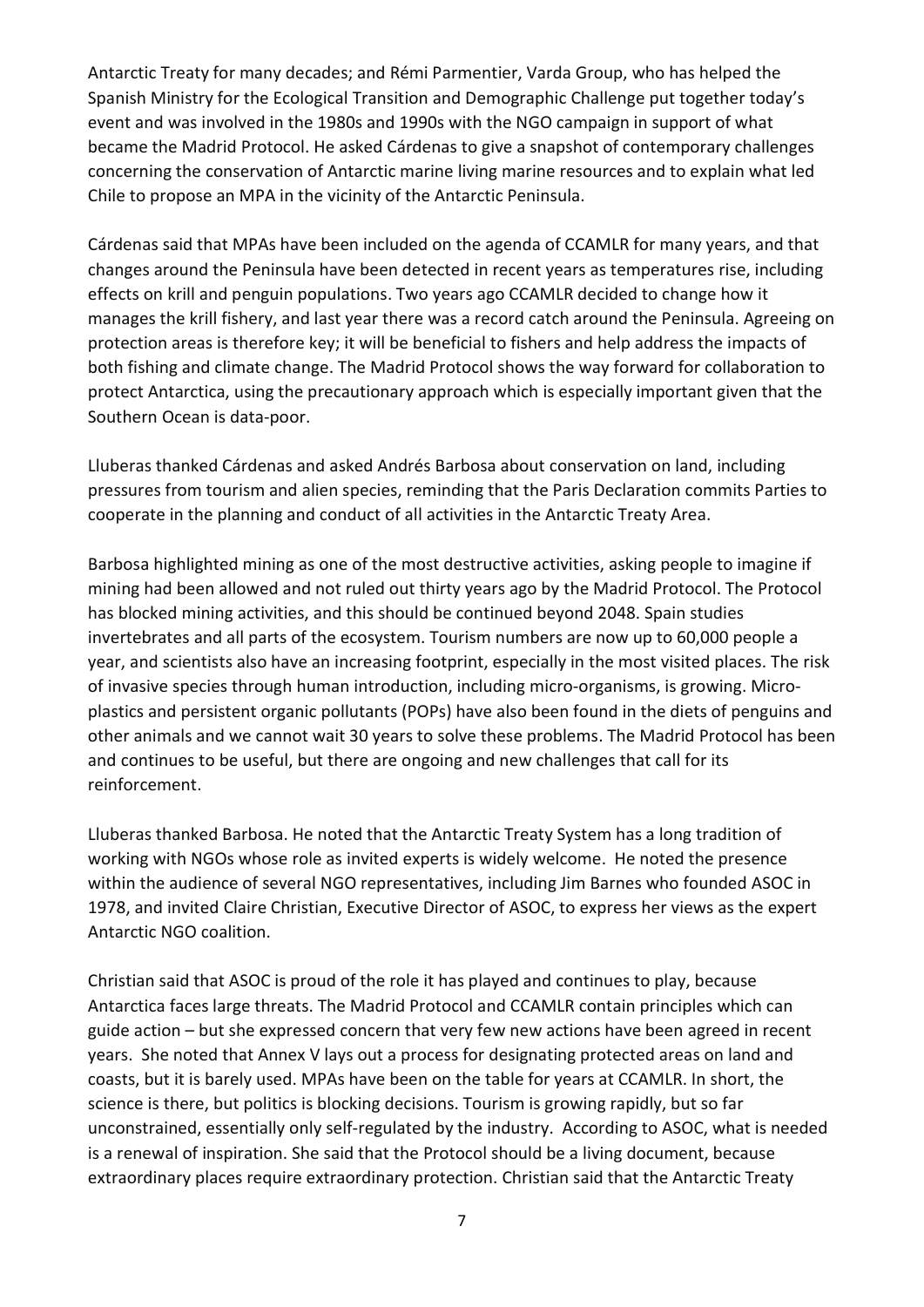Antarctic Treaty for many decades; and Rémi Parmentier, Varda Group, who has helped the Spanish Ministry for the Ecological Transition and Demographic Challenge put together today's event and was involved in the 1980s and 1990s with the NGO campaign in support of what became the Madrid Protocol. He asked Cárdenas to give a snapshot of contemporary challenges concerning the conservation of Antarctic marine living marine resources and to explain what led Chile to propose an MPA in the vicinity of the Antarctic Peninsula.

Cárdenas said that MPAs have been included on the agenda of CCAMLR for many years, and that changes around the Peninsula have been detected in recent years as temperatures rise, including effects on krill and penguin populations. Two years ago CCAMLR decided to change how it manages the krill fishery, and last year there was a record catch around the Peninsula. Agreeing on protection areas is therefore key; it will be beneficial to fishers and help address the impacts of both fishing and climate change. The Madrid Protocol shows the way forward for collaboration to protect Antarctica, using the precautionary approach which is especially important given that the Southern Ocean is data-poor.

Lluberas thanked Cárdenas and asked Andrés Barbosa about conservation on land, including pressures from tourism and alien species, reminding that the Paris Declaration commits Parties to cooperate in the planning and conduct of all activities in the Antarctic Treaty Area.

Barbosa highlighted mining as one of the most destructive activities, asking people to imagine if mining had been allowed and not ruled out thirty years ago by the Madrid Protocol. The Protocol has blocked mining activities, and this should be continued beyond 2048. Spain studies invertebrates and all parts of the ecosystem. Tourism numbers are now up to 60,000 people a year, and scientists also have an increasing footprint, especially in the most visited places. The risk of invasive species through human introduction, including micro-organisms, is growing. Microplastics and persistent organic pollutants (POPs) have also been found in the diets of penguins and other animals and we cannot wait 30 years to solve these problems. The Madrid Protocol has been and continues to be useful, but there are ongoing and new challenges that call for its reinforcement.

Lluberas thanked Barbosa. He noted that the Antarctic Treaty System has a long tradition of working with NGOs whose role as invited experts is widely welcome. He noted the presence within the audience of several NGO representatives, including Jim Barnes who founded ASOC in 1978, and invited Claire Christian, Executive Director of ASOC, to express her views as the expert Antarctic NGO coalition.

Christian said that ASOC is proud of the role it has played and continues to play, because Antarctica faces large threats. The Madrid Protocol and CCAMLR contain principles which can guide action – but she expressed concern that very few new actions have been agreed in recent years. She noted that Annex V lays out a process for designating protected areas on land and coasts, but it is barely used. MPAs have been on the table for years at CCAMLR. In short, the science is there, but politics is blocking decisions. Tourism is growing rapidly, but so far unconstrained, essentially only self-regulated by the industry. According to ASOC, what is needed is a renewal of inspiration. She said that the Protocol should be a living document, because extraordinary places require extraordinary protection. Christian said that the Antarctic Treaty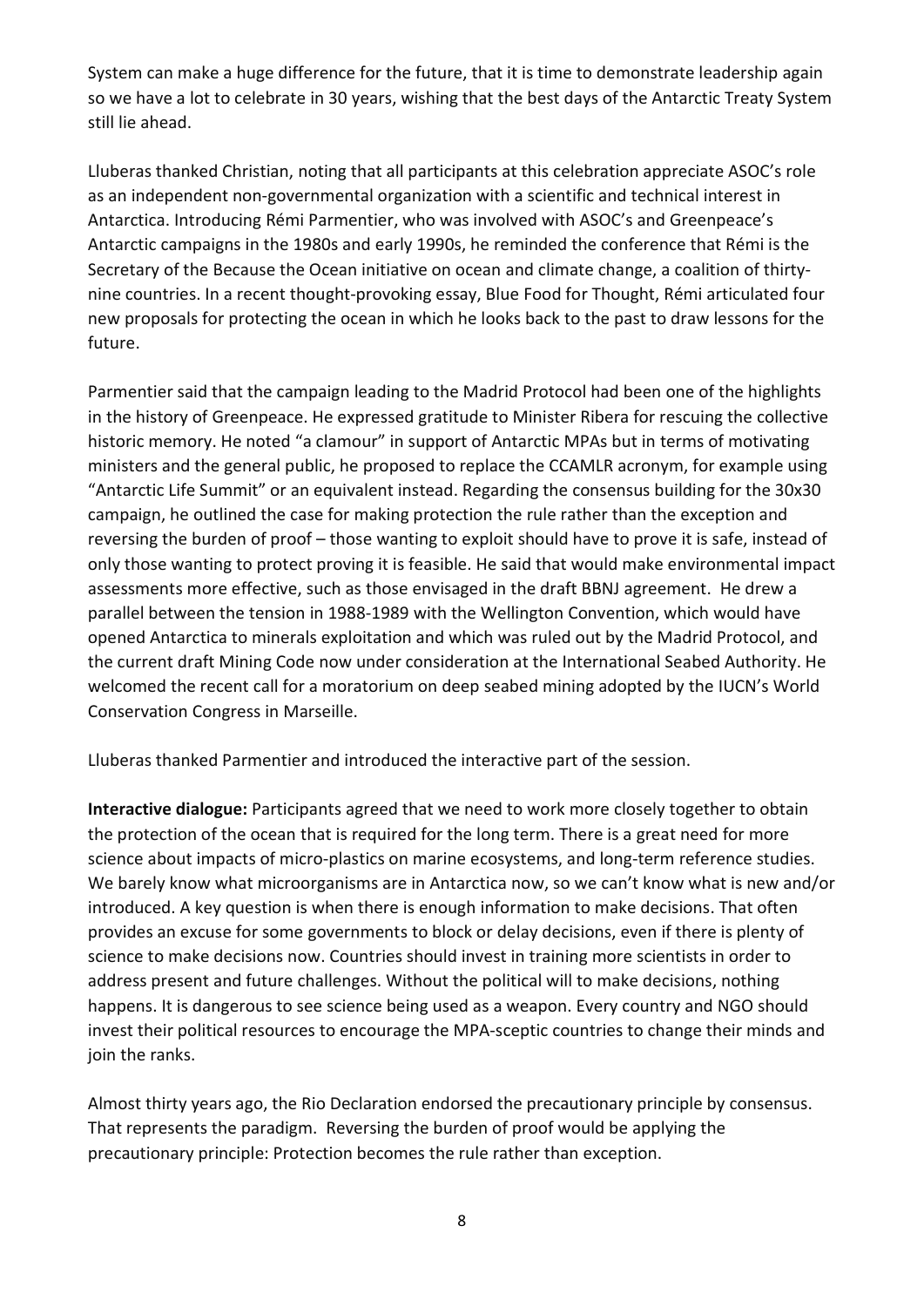System can make a huge difference for the future, that it is time to demonstrate leadership again so we have a lot to celebrate in 30 years, wishing that the best days of the Antarctic Treaty System still lie ahead.

Lluberas thanked Christian, noting that all participants at this celebration appreciate ASOC's role as an independent non-governmental organization with a scientific and technical interest in Antarctica. Introducing Rémi Parmentier, who was involved with ASOC's and Greenpeace's Antarctic campaigns in the 1980s and early 1990s, he reminded the conference that Rémi is the Secretary of the Because the Ocean initiative on ocean and climate change, a coalition of thirtynine countries. In a recent thought-provoking essay, Blue Food for Thought, Rémi articulated four new proposals for protecting the ocean in which he looks back to the past to draw lessons for the future.

Parmentier said that the campaign leading to the Madrid Protocol had been one of the highlights in the history of Greenpeace. He expressed gratitude to Minister Ribera for rescuing the collective historic memory. He noted "a clamour" in support of Antarctic MPAs but in terms of motivating ministers and the general public, he proposed to replace the CCAMLR acronym, for example using "Antarctic Life Summit" or an equivalent instead. Regarding the consensus building for the 30x30 campaign, he outlined the case for making protection the rule rather than the exception and reversing the burden of proof – those wanting to exploit should have to prove it is safe, instead of only those wanting to protect proving it is feasible. He said that would make environmental impact assessments more effective, such as those envisaged in the draft BBNJ agreement. He drew a parallel between the tension in 1988-1989 with the Wellington Convention, which would have opened Antarctica to minerals exploitation and which was ruled out by the Madrid Protocol, and the current draft Mining Code now under consideration at the International Seabed Authority. He welcomed the recent call for a moratorium on deep seabed mining adopted by the IUCN's World Conservation Congress in Marseille.

Lluberas thanked Parmentier and introduced the interactive part of the session.

Interactive dialogue: Participants agreed that we need to work more closely together to obtain the protection of the ocean that is required for the long term. There is a great need for more science about impacts of micro-plastics on marine ecosystems, and long-term reference studies. We barely know what microorganisms are in Antarctica now, so we can't know what is new and/or introduced. A key question is when there is enough information to make decisions. That often provides an excuse for some governments to block or delay decisions, even if there is plenty of science to make decisions now. Countries should invest in training more scientists in order to address present and future challenges. Without the political will to make decisions, nothing happens. It is dangerous to see science being used as a weapon. Every country and NGO should invest their political resources to encourage the MPA-sceptic countries to change their minds and join the ranks.

Almost thirty years ago, the Rio Declaration endorsed the precautionary principle by consensus. That represents the paradigm. Reversing the burden of proof would be applying the precautionary principle: Protection becomes the rule rather than exception.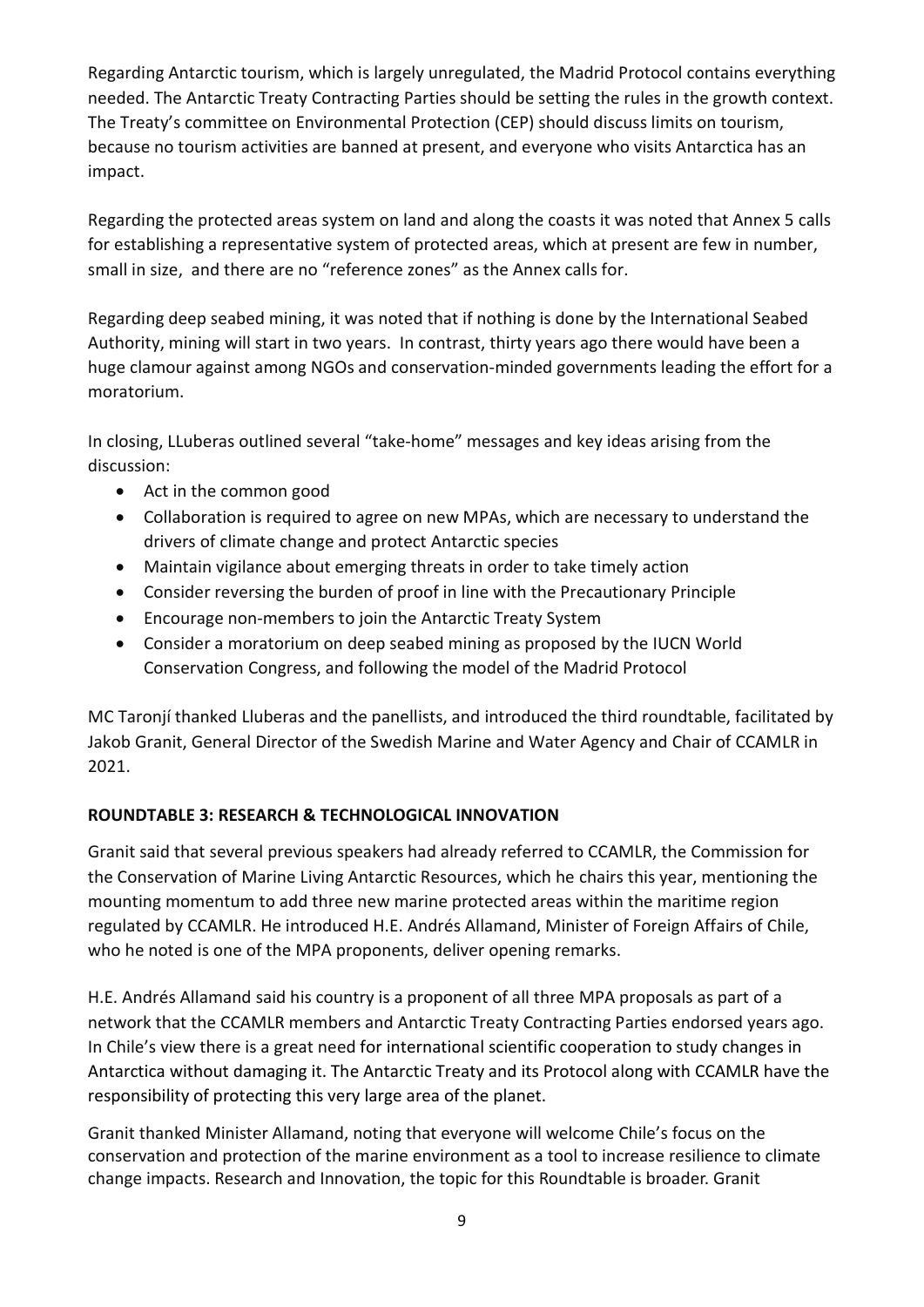Regarding Antarctic tourism, which is largely unregulated, the Madrid Protocol contains everything needed. The Antarctic Treaty Contracting Parties should be setting the rules in the growth context. The Treaty's committee on Environmental Protection (CEP) should discuss limits on tourism, because no tourism activities are banned at present, and everyone who visits Antarctica has an impact.

Regarding the protected areas system on land and along the coasts it was noted that Annex 5 calls for establishing a representative system of protected areas, which at present are few in number, small in size, and there are no "reference zones" as the Annex calls for.

Regarding deep seabed mining, it was noted that if nothing is done by the International Seabed Authority, mining will start in two years. In contrast, thirty years ago there would have been a huge clamour against among NGOs and conservation-minded governments leading the effort for a moratorium.

In closing, LLuberas outlined several "take-home" messages and key ideas arising from the discussion:

- Act in the common good
- Collaboration is required to agree on new MPAs, which are necessary to understand the drivers of climate change and protect Antarctic species
- Maintain vigilance about emerging threats in order to take timely action
- Consider reversing the burden of proof in line with the Precautionary Principle
- Encourage non-members to join the Antarctic Treaty System
- Consider a moratorium on deep seabed mining as proposed by the IUCN World Conservation Congress, and following the model of the Madrid Protocol

MC Taronjí thanked Lluberas and the panellists, and introduced the third roundtable, facilitated by Jakob Granit, General Director of the Swedish Marine and Water Agency and Chair of CCAMLR in 2021.

## ROUNDTABLE 3: RESEARCH & TECHNOLOGICAL INNOVATION

Granit said that several previous speakers had already referred to CCAMLR, the Commission for the Conservation of Marine Living Antarctic Resources, which he chairs this year, mentioning the mounting momentum to add three new marine protected areas within the maritime region regulated by CCAMLR. He introduced H.E. Andrés Allamand, Minister of Foreign Affairs of Chile, who he noted is one of the MPA proponents, deliver opening remarks.

H.E. Andrés Allamand said his country is a proponent of all three MPA proposals as part of a network that the CCAMLR members and Antarctic Treaty Contracting Parties endorsed years ago. In Chile's view there is a great need for international scientific cooperation to study changes in Antarctica without damaging it. The Antarctic Treaty and its Protocol along with CCAMLR have the responsibility of protecting this very large area of the planet.

Granit thanked Minister Allamand, noting that everyone will welcome Chile's focus on the conservation and protection of the marine environment as a tool to increase resilience to climate change impacts. Research and Innovation, the topic for this Roundtable is broader. Granit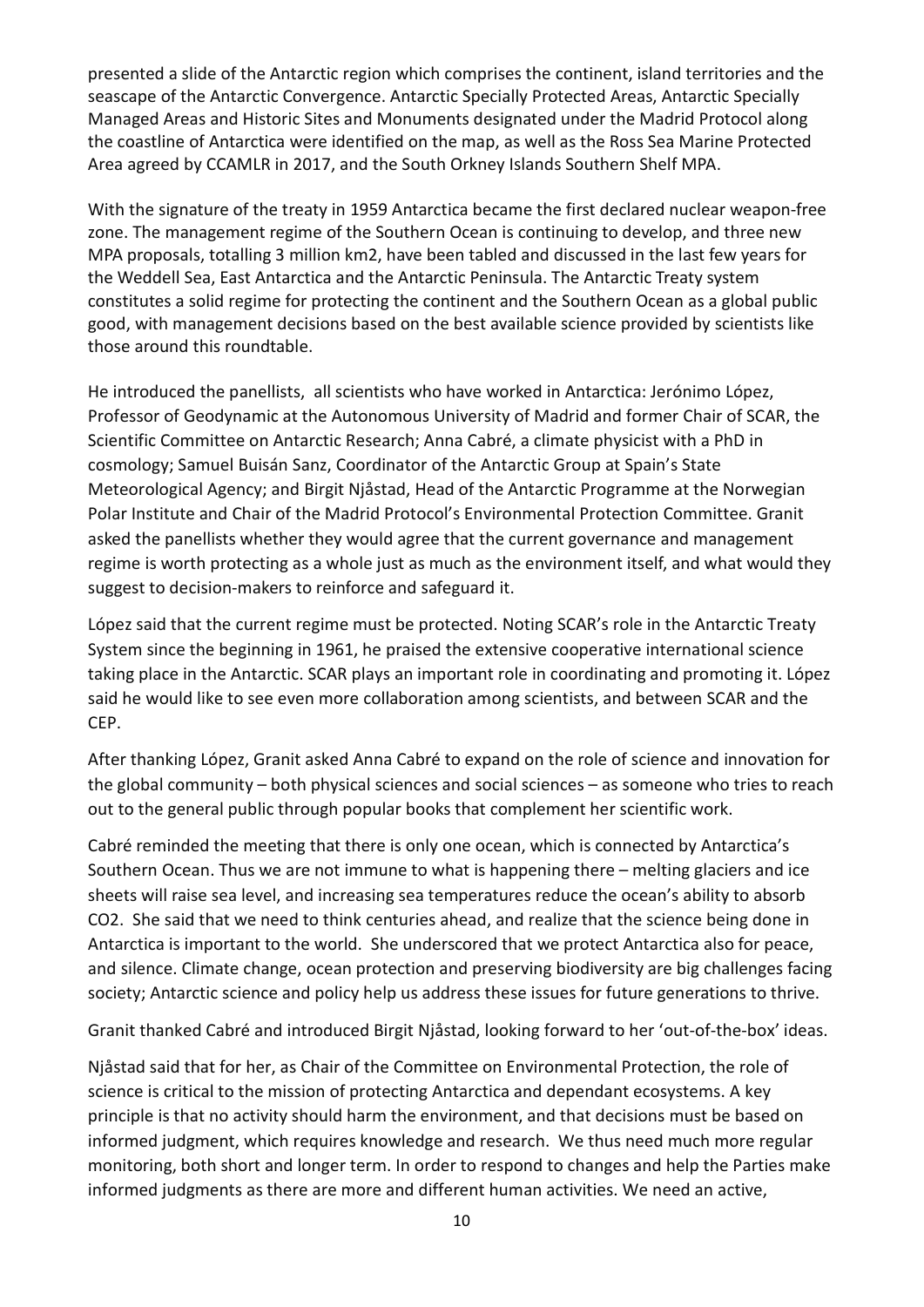presented a slide of the Antarctic region which comprises the continent, island territories and the seascape of the Antarctic Convergence. Antarctic Specially Protected Areas, Antarctic Specially Managed Areas and Historic Sites and Monuments designated under the Madrid Protocol along the coastline of Antarctica were identified on the map, as well as the Ross Sea Marine Protected Area agreed by CCAMLR in 2017, and the South Orkney Islands Southern Shelf MPA.

With the signature of the treaty in 1959 Antarctica became the first declared nuclear weapon-free zone. The management regime of the Southern Ocean is continuing to develop, and three new MPA proposals, totalling 3 million km2, have been tabled and discussed in the last few years for the Weddell Sea, East Antarctica and the Antarctic Peninsula. The Antarctic Treaty system constitutes a solid regime for protecting the continent and the Southern Ocean as a global public good, with management decisions based on the best available science provided by scientists like those around this roundtable.

He introduced the panellists, all scientists who have worked in Antarctica: Jerónimo López, Professor of Geodynamic at the Autonomous University of Madrid and former Chair of SCAR, the Scientific Committee on Antarctic Research; Anna Cabré, a climate physicist with a PhD in cosmology; Samuel Buisán Sanz, Coordinator of the Antarctic Group at Spain's State Meteorological Agency; and Birgit Njåstad, Head of the Antarctic Programme at the Norwegian Polar Institute and Chair of the Madrid Protocol's Environmental Protection Committee. Granit asked the panellists whether they would agree that the current governance and management regime is worth protecting as a whole just as much as the environment itself, and what would they suggest to decision-makers to reinforce and safeguard it.

López said that the current regime must be protected. Noting SCAR's role in the Antarctic Treaty System since the beginning in 1961, he praised the extensive cooperative international science taking place in the Antarctic. SCAR plays an important role in coordinating and promoting it. López said he would like to see even more collaboration among scientists, and between SCAR and the CEP.

After thanking López, Granit asked Anna Cabré to expand on the role of science and innovation for the global community – both physical sciences and social sciences – as someone who tries to reach out to the general public through popular books that complement her scientific work.

Cabré reminded the meeting that there is only one ocean, which is connected by Antarctica's Southern Ocean. Thus we are not immune to what is happening there – melting glaciers and ice sheets will raise sea level, and increasing sea temperatures reduce the ocean's ability to absorb CO2. She said that we need to think centuries ahead, and realize that the science being done in Antarctica is important to the world. She underscored that we protect Antarctica also for peace, and silence. Climate change, ocean protection and preserving biodiversity are big challenges facing society; Antarctic science and policy help us address these issues for future generations to thrive.

Granit thanked Cabré and introduced Birgit Njåstad, looking forward to her 'out-of-the-box' ideas.

Njåstad said that for her, as Chair of the Committee on Environmental Protection, the role of science is critical to the mission of protecting Antarctica and dependant ecosystems. A key principle is that no activity should harm the environment, and that decisions must be based on informed judgment, which requires knowledge and research. We thus need much more regular monitoring, both short and longer term. In order to respond to changes and help the Parties make informed judgments as there are more and different human activities. We need an active,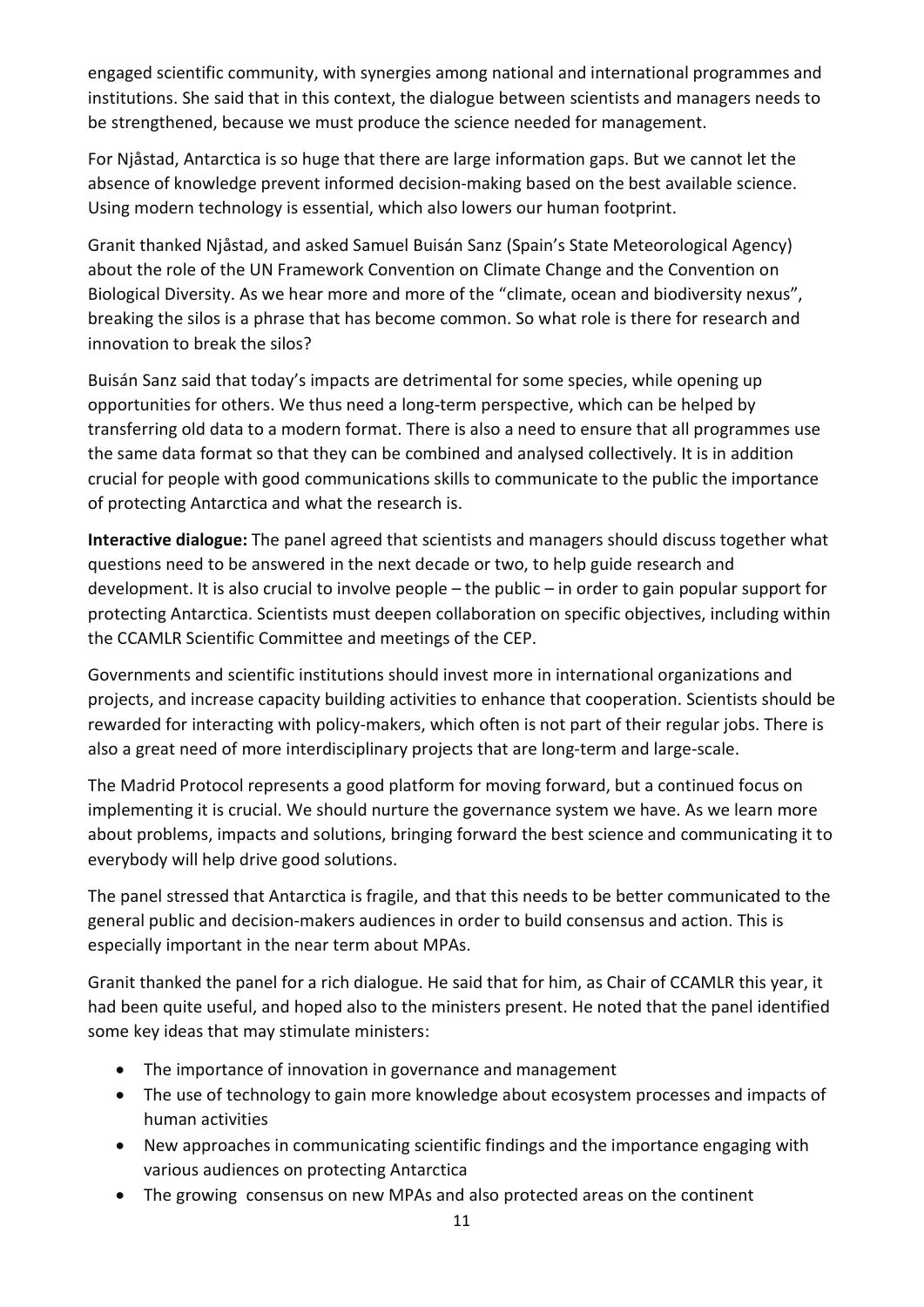engaged scientific community, with synergies among national and international programmes and institutions. She said that in this context, the dialogue between scientists and managers needs to be strengthened, because we must produce the science needed for management.

For Njåstad, Antarctica is so huge that there are large information gaps. But we cannot let the absence of knowledge prevent informed decision-making based on the best available science. Using modern technology is essential, which also lowers our human footprint.

Granit thanked Njåstad, and asked Samuel Buisán Sanz (Spain's State Meteorological Agency) about the role of the UN Framework Convention on Climate Change and the Convention on Biological Diversity. As we hear more and more of the "climate, ocean and biodiversity nexus", breaking the silos is a phrase that has become common. So what role is there for research and innovation to break the silos?

Buisán Sanz said that today's impacts are detrimental for some species, while opening up opportunities for others. We thus need a long-term perspective, which can be helped by transferring old data to a modern format. There is also a need to ensure that all programmes use the same data format so that they can be combined and analysed collectively. It is in addition crucial for people with good communications skills to communicate to the public the importance of protecting Antarctica and what the research is.

Interactive dialogue: The panel agreed that scientists and managers should discuss together what questions need to be answered in the next decade or two, to help guide research and development. It is also crucial to involve people – the public – in order to gain popular support for protecting Antarctica. Scientists must deepen collaboration on specific objectives, including within the CCAMLR Scientific Committee and meetings of the CEP.

Governments and scientific institutions should invest more in international organizations and projects, and increase capacity building activities to enhance that cooperation. Scientists should be rewarded for interacting with policy-makers, which often is not part of their regular jobs. There is also a great need of more interdisciplinary projects that are long-term and large-scale.

The Madrid Protocol represents a good platform for moving forward, but a continued focus on implementing it is crucial. We should nurture the governance system we have. As we learn more about problems, impacts and solutions, bringing forward the best science and communicating it to everybody will help drive good solutions.

The panel stressed that Antarctica is fragile, and that this needs to be better communicated to the general public and decision-makers audiences in order to build consensus and action. This is especially important in the near term about MPAs.

Granit thanked the panel for a rich dialogue. He said that for him, as Chair of CCAMLR this year, it had been quite useful, and hoped also to the ministers present. He noted that the panel identified some key ideas that may stimulate ministers:

- The importance of innovation in governance and management
- The use of technology to gain more knowledge about ecosystem processes and impacts of human activities
- New approaches in communicating scientific findings and the importance engaging with various audiences on protecting Antarctica
- The growing consensus on new MPAs and also protected areas on the continent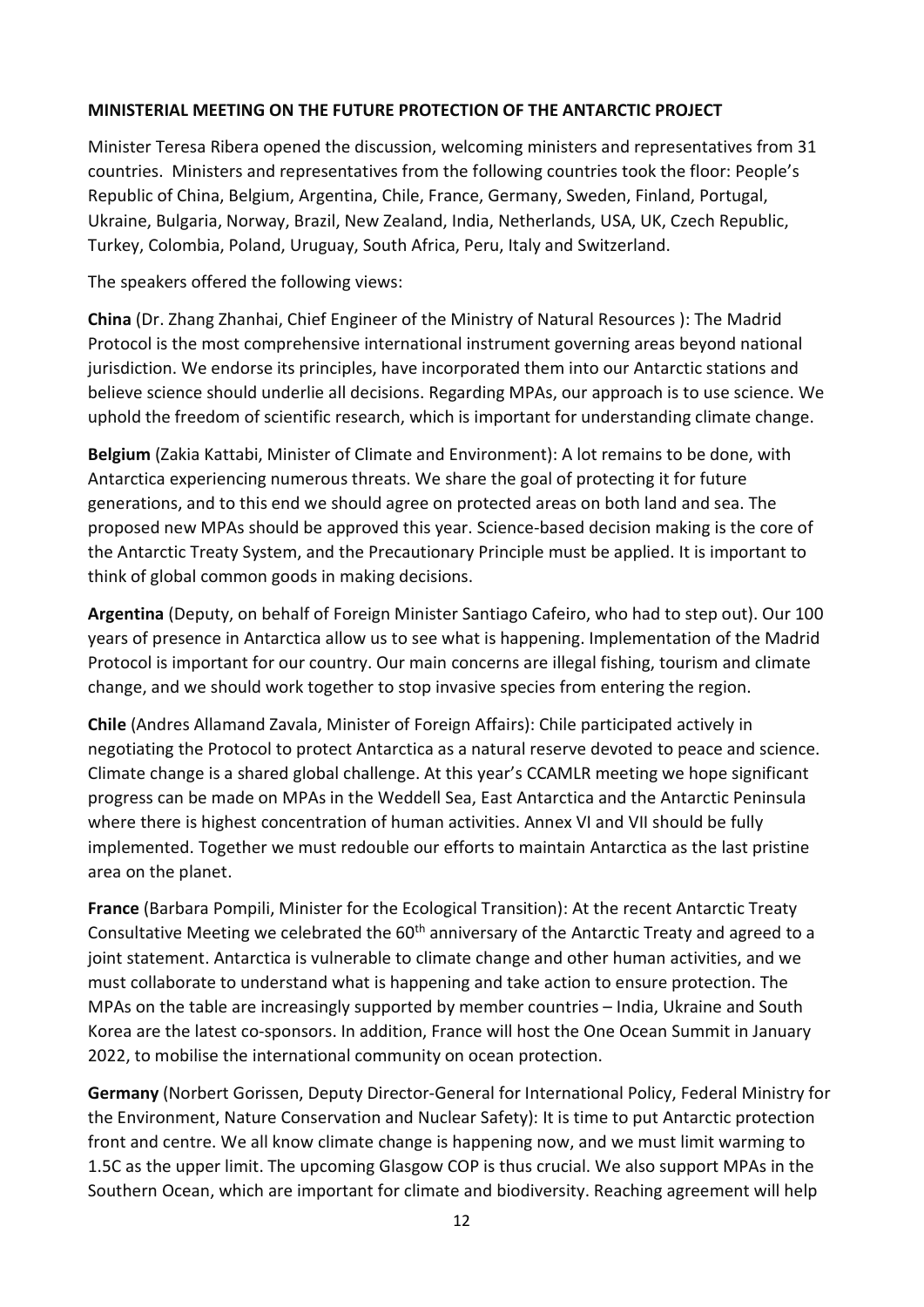#### MINISTERIAL MEETING ON THE FUTURE PROTECTION OF THE ANTARCTIC PROJECT

Minister Teresa Ribera opened the discussion, welcoming ministers and representatives from 31 countries. Ministers and representatives from the following countries took the floor: People's Republic of China, Belgium, Argentina, Chile, France, Germany, Sweden, Finland, Portugal, Ukraine, Bulgaria, Norway, Brazil, New Zealand, India, Netherlands, USA, UK, Czech Republic, Turkey, Colombia, Poland, Uruguay, South Africa, Peru, Italy and Switzerland.

The speakers offered the following views:

China (Dr. Zhang Zhanhai, Chief Engineer of the Ministry of Natural Resources ): The Madrid Protocol is the most comprehensive international instrument governing areas beyond national jurisdiction. We endorse its principles, have incorporated them into our Antarctic stations and believe science should underlie all decisions. Regarding MPAs, our approach is to use science. We uphold the freedom of scientific research, which is important for understanding climate change.

Belgium (Zakia Kattabi, Minister of Climate and Environment): A lot remains to be done, with Antarctica experiencing numerous threats. We share the goal of protecting it for future generations, and to this end we should agree on protected areas on both land and sea. The proposed new MPAs should be approved this year. Science-based decision making is the core of the Antarctic Treaty System, and the Precautionary Principle must be applied. It is important to think of global common goods in making decisions.

Argentina (Deputy, on behalf of Foreign Minister Santiago Cafeiro, who had to step out). Our 100 years of presence in Antarctica allow us to see what is happening. Implementation of the Madrid Protocol is important for our country. Our main concerns are illegal fishing, tourism and climate change, and we should work together to stop invasive species from entering the region.

Chile (Andres Allamand Zavala, Minister of Foreign Affairs): Chile participated actively in negotiating the Protocol to protect Antarctica as a natural reserve devoted to peace and science. Climate change is a shared global challenge. At this year's CCAMLR meeting we hope significant progress can be made on MPAs in the Weddell Sea, East Antarctica and the Antarctic Peninsula where there is highest concentration of human activities. Annex VI and VII should be fully implemented. Together we must redouble our efforts to maintain Antarctica as the last pristine area on the planet.

France (Barbara Pompili, Minister for the Ecological Transition): At the recent Antarctic Treaty Consultative Meeting we celebrated the 60<sup>th</sup> anniversary of the Antarctic Treaty and agreed to a joint statement. Antarctica is vulnerable to climate change and other human activities, and we must collaborate to understand what is happening and take action to ensure protection. The MPAs on the table are increasingly supported by member countries – India, Ukraine and South Korea are the latest co-sponsors. In addition, France will host the One Ocean Summit in January 2022, to mobilise the international community on ocean protection.

Germany (Norbert Gorissen, Deputy Director-General for International Policy, Federal Ministry for the Environment, Nature Conservation and Nuclear Safety): It is time to put Antarctic protection front and centre. We all know climate change is happening now, and we must limit warming to 1.5C as the upper limit. The upcoming Glasgow COP is thus crucial. We also support MPAs in the Southern Ocean, which are important for climate and biodiversity. Reaching agreement will help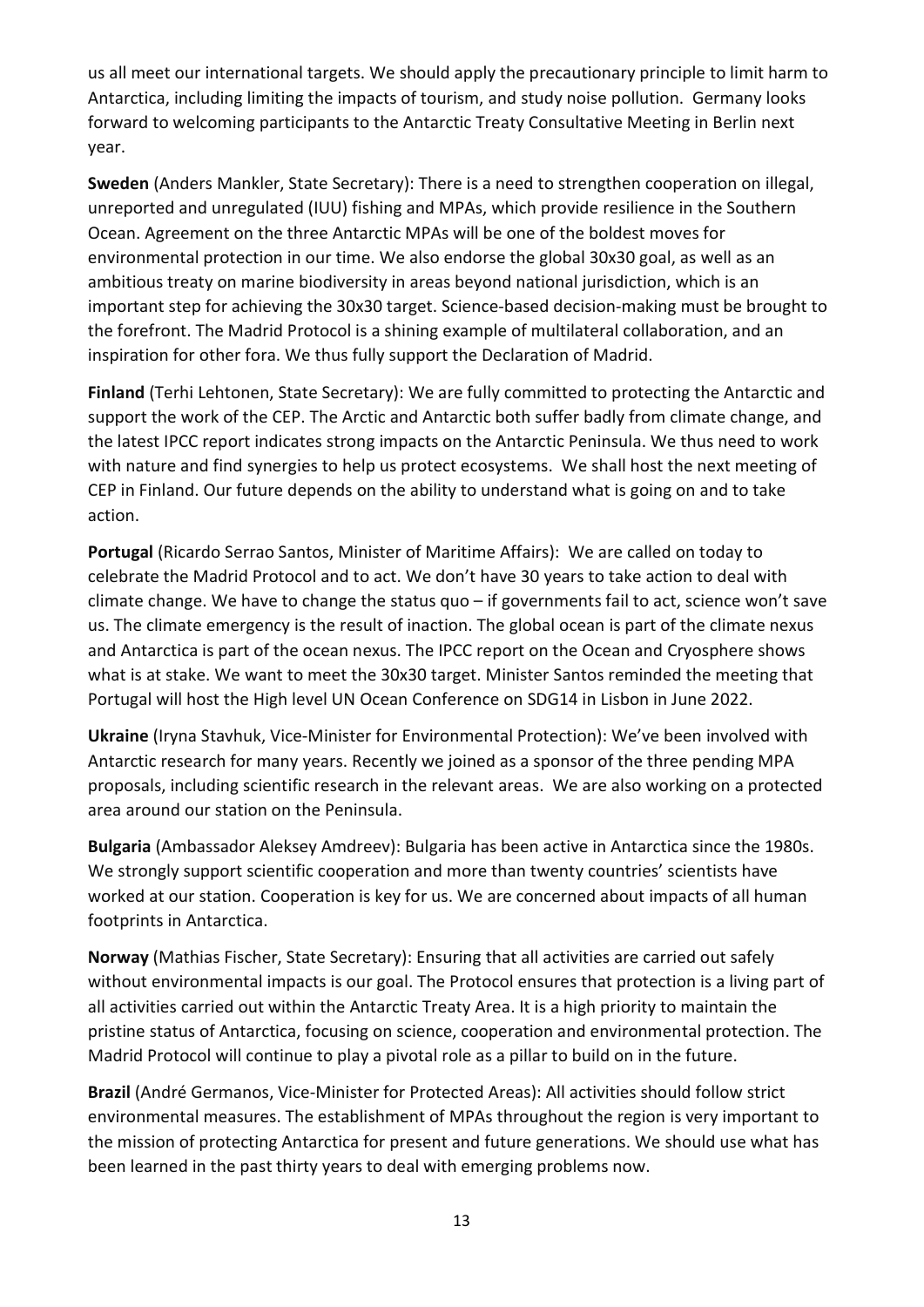us all meet our international targets. We should apply the precautionary principle to limit harm to Antarctica, including limiting the impacts of tourism, and study noise pollution. Germany looks forward to welcoming participants to the Antarctic Treaty Consultative Meeting in Berlin next year.

Sweden (Anders Mankler, State Secretary): There is a need to strengthen cooperation on illegal, unreported and unregulated (IUU) fishing and MPAs, which provide resilience in the Southern Ocean. Agreement on the three Antarctic MPAs will be one of the boldest moves for environmental protection in our time. We also endorse the global 30x30 goal, as well as an ambitious treaty on marine biodiversity in areas beyond national jurisdiction, which is an important step for achieving the 30x30 target. Science-based decision-making must be brought to the forefront. The Madrid Protocol is a shining example of multilateral collaboration, and an inspiration for other fora. We thus fully support the Declaration of Madrid.

Finland (Terhi Lehtonen, State Secretary): We are fully committed to protecting the Antarctic and support the work of the CEP. The Arctic and Antarctic both suffer badly from climate change, and the latest IPCC report indicates strong impacts on the Antarctic Peninsula. We thus need to work with nature and find synergies to help us protect ecosystems. We shall host the next meeting of CEP in Finland. Our future depends on the ability to understand what is going on and to take action.

Portugal (Ricardo Serrao Santos, Minister of Maritime Affairs): We are called on today to celebrate the Madrid Protocol and to act. We don't have 30 years to take action to deal with climate change. We have to change the status quo – if governments fail to act, science won't save us. The climate emergency is the result of inaction. The global ocean is part of the climate nexus and Antarctica is part of the ocean nexus. The IPCC report on the Ocean and Cryosphere shows what is at stake. We want to meet the 30x30 target. Minister Santos reminded the meeting that Portugal will host the High level UN Ocean Conference on SDG14 in Lisbon in June 2022.

Ukraine (Iryna Stavhuk, Vice-Minister for Environmental Protection): We've been involved with Antarctic research for many years. Recently we joined as a sponsor of the three pending MPA proposals, including scientific research in the relevant areas. We are also working on a protected area around our station on the Peninsula.

Bulgaria (Ambassador Aleksey Amdreev): Bulgaria has been active in Antarctica since the 1980s. We strongly support scientific cooperation and more than twenty countries' scientists have worked at our station. Cooperation is key for us. We are concerned about impacts of all human footprints in Antarctica.

Norway (Mathias Fischer, State Secretary): Ensuring that all activities are carried out safely without environmental impacts is our goal. The Protocol ensures that protection is a living part of all activities carried out within the Antarctic Treaty Area. It is a high priority to maintain the pristine status of Antarctica, focusing on science, cooperation and environmental protection. The Madrid Protocol will continue to play a pivotal role as a pillar to build on in the future.

Brazil (André Germanos, Vice-Minister for Protected Areas): All activities should follow strict environmental measures. The establishment of MPAs throughout the region is very important to the mission of protecting Antarctica for present and future generations. We should use what has been learned in the past thirty years to deal with emerging problems now.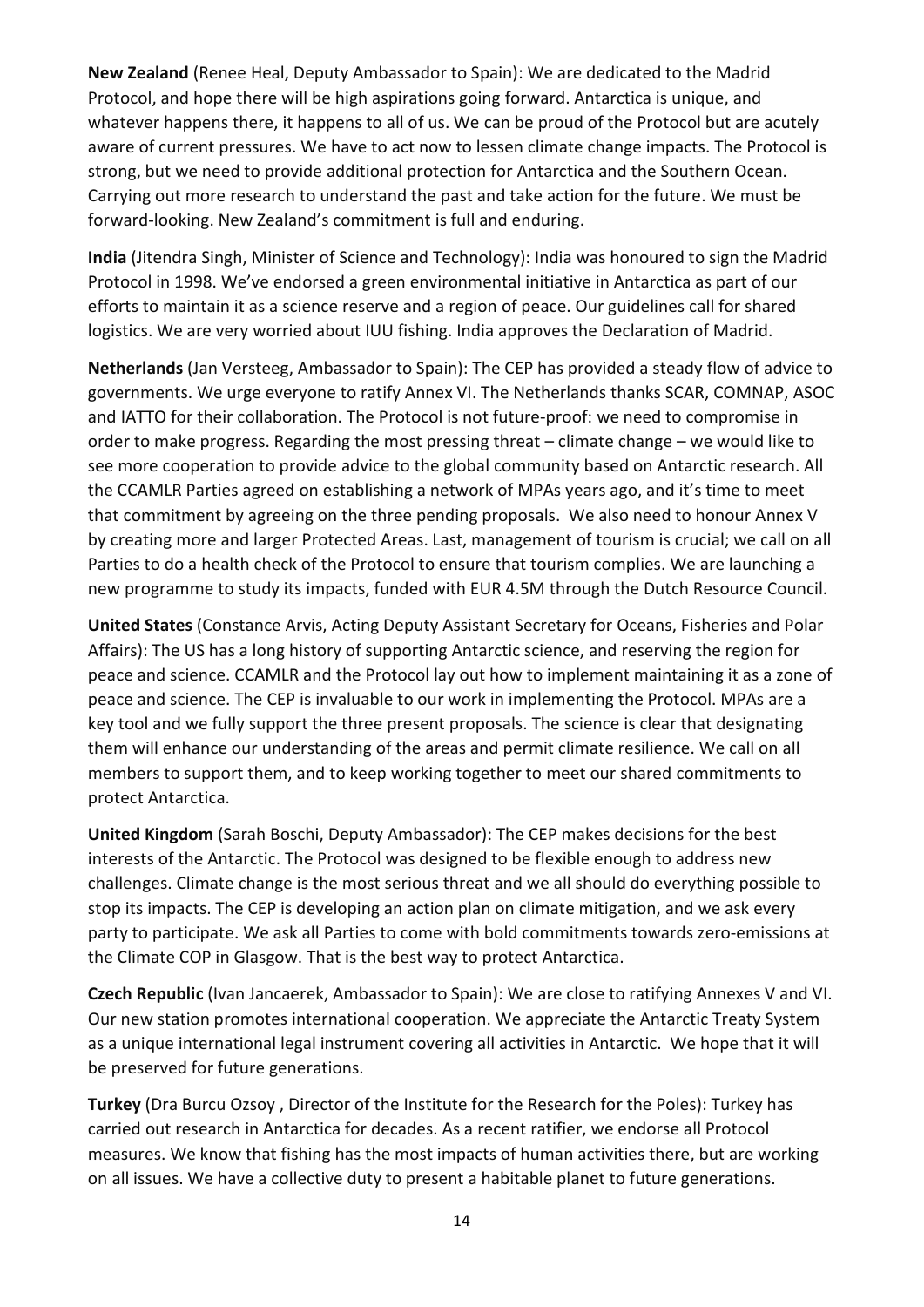New Zealand (Renee Heal, Deputy Ambassador to Spain): We are dedicated to the Madrid Protocol, and hope there will be high aspirations going forward. Antarctica is unique, and whatever happens there, it happens to all of us. We can be proud of the Protocol but are acutely aware of current pressures. We have to act now to lessen climate change impacts. The Protocol is strong, but we need to provide additional protection for Antarctica and the Southern Ocean. Carrying out more research to understand the past and take action for the future. We must be forward-looking. New Zealand's commitment is full and enduring.

India (Jitendra Singh, Minister of Science and Technology): India was honoured to sign the Madrid Protocol in 1998. We've endorsed a green environmental initiative in Antarctica as part of our efforts to maintain it as a science reserve and a region of peace. Our guidelines call for shared logistics. We are very worried about IUU fishing. India approves the Declaration of Madrid.

Netherlands (Jan Versteeg, Ambassador to Spain): The CEP has provided a steady flow of advice to governments. We urge everyone to ratify Annex VI. The Netherlands thanks SCAR, COMNAP, ASOC and IATTO for their collaboration. The Protocol is not future-proof: we need to compromise in order to make progress. Regarding the most pressing threat – climate change – we would like to see more cooperation to provide advice to the global community based on Antarctic research. All the CCAMLR Parties agreed on establishing a network of MPAs years ago, and it's time to meet that commitment by agreeing on the three pending proposals. We also need to honour Annex V by creating more and larger Protected Areas. Last, management of tourism is crucial; we call on all Parties to do a health check of the Protocol to ensure that tourism complies. We are launching a new programme to study its impacts, funded with EUR 4.5M through the Dutch Resource Council.

United States (Constance Arvis, Acting Deputy Assistant Secretary for Oceans, Fisheries and Polar Affairs): The US has a long history of supporting Antarctic science, and reserving the region for peace and science. CCAMLR and the Protocol lay out how to implement maintaining it as a zone of peace and science. The CEP is invaluable to our work in implementing the Protocol. MPAs are a key tool and we fully support the three present proposals. The science is clear that designating them will enhance our understanding of the areas and permit climate resilience. We call on all members to support them, and to keep working together to meet our shared commitments to protect Antarctica.

United Kingdom (Sarah Boschi, Deputy Ambassador): The CEP makes decisions for the best interests of the Antarctic. The Protocol was designed to be flexible enough to address new challenges. Climate change is the most serious threat and we all should do everything possible to stop its impacts. The CEP is developing an action plan on climate mitigation, and we ask every party to participate. We ask all Parties to come with bold commitments towards zero-emissions at the Climate COP in Glasgow. That is the best way to protect Antarctica.

Czech Republic (Ivan Jancaerek, Ambassador to Spain): We are close to ratifying Annexes V and VI. Our new station promotes international cooperation. We appreciate the Antarctic Treaty System as a unique international legal instrument covering all activities in Antarctic. We hope that it will be preserved for future generations.

Turkey (Dra Burcu Ozsoy , Director of the Institute for the Research for the Poles): Turkey has carried out research in Antarctica for decades. As a recent ratifier, we endorse all Protocol measures. We know that fishing has the most impacts of human activities there, but are working on all issues. We have a collective duty to present a habitable planet to future generations.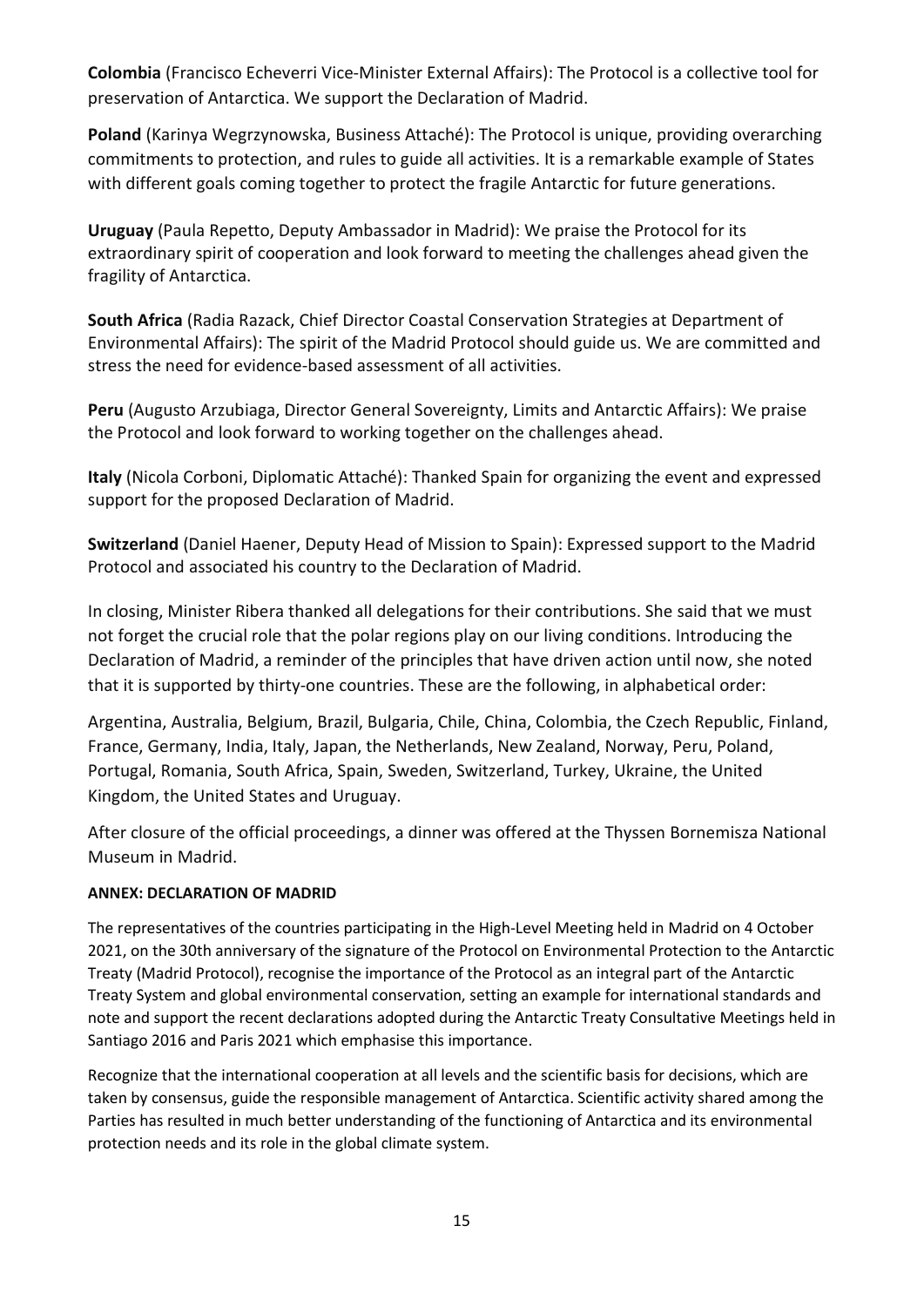Colombia (Francisco Echeverri Vice-Minister External Affairs): The Protocol is a collective tool for preservation of Antarctica. We support the Declaration of Madrid.

Poland (Karinya Wegrzynowska, Business Attaché): The Protocol is unique, providing overarching commitments to protection, and rules to guide all activities. It is a remarkable example of States with different goals coming together to protect the fragile Antarctic for future generations.

Uruguay (Paula Repetto, Deputy Ambassador in Madrid): We praise the Protocol for its extraordinary spirit of cooperation and look forward to meeting the challenges ahead given the fragility of Antarctica.

South Africa (Radia Razack, Chief Director Coastal Conservation Strategies at Department of Environmental Affairs): The spirit of the Madrid Protocol should guide us. We are committed and stress the need for evidence-based assessment of all activities.

Peru (Augusto Arzubiaga, Director General Sovereignty, Limits and Antarctic Affairs): We praise the Protocol and look forward to working together on the challenges ahead.

Italy (Nicola Corboni, Diplomatic Attaché): Thanked Spain for organizing the event and expressed support for the proposed Declaration of Madrid.

Switzerland (Daniel Haener, Deputy Head of Mission to Spain): Expressed support to the Madrid Protocol and associated his country to the Declaration of Madrid.

In closing, Minister Ribera thanked all delegations for their contributions. She said that we must not forget the crucial role that the polar regions play on our living conditions. Introducing the Declaration of Madrid, a reminder of the principles that have driven action until now, she noted that it is supported by thirty-one countries. These are the following, in alphabetical order:

Argentina, Australia, Belgium, Brazil, Bulgaria, Chile, China, Colombia, the Czech Republic, Finland, France, Germany, India, Italy, Japan, the Netherlands, New Zealand, Norway, Peru, Poland, Portugal, Romania, South Africa, Spain, Sweden, Switzerland, Turkey, Ukraine, the United Kingdom, the United States and Uruguay.

After closure of the official proceedings, a dinner was offered at the Thyssen Bornemisza National Museum in Madrid.

#### ANNEX: DECLARATION OF MADRID

The representatives of the countries participating in the High-Level Meeting held in Madrid on 4 October 2021, on the 30th anniversary of the signature of the Protocol on Environmental Protection to the Antarctic Treaty (Madrid Protocol), recognise the importance of the Protocol as an integral part of the Antarctic Treaty System and global environmental conservation, setting an example for international standards and note and support the recent declarations adopted during the Antarctic Treaty Consultative Meetings held in Santiago 2016 and Paris 2021 which emphasise this importance.

Recognize that the international cooperation at all levels and the scientific basis for decisions, which are taken by consensus, guide the responsible management of Antarctica. Scientific activity shared among the Parties has resulted in much better understanding of the functioning of Antarctica and its environmental protection needs and its role in the global climate system.